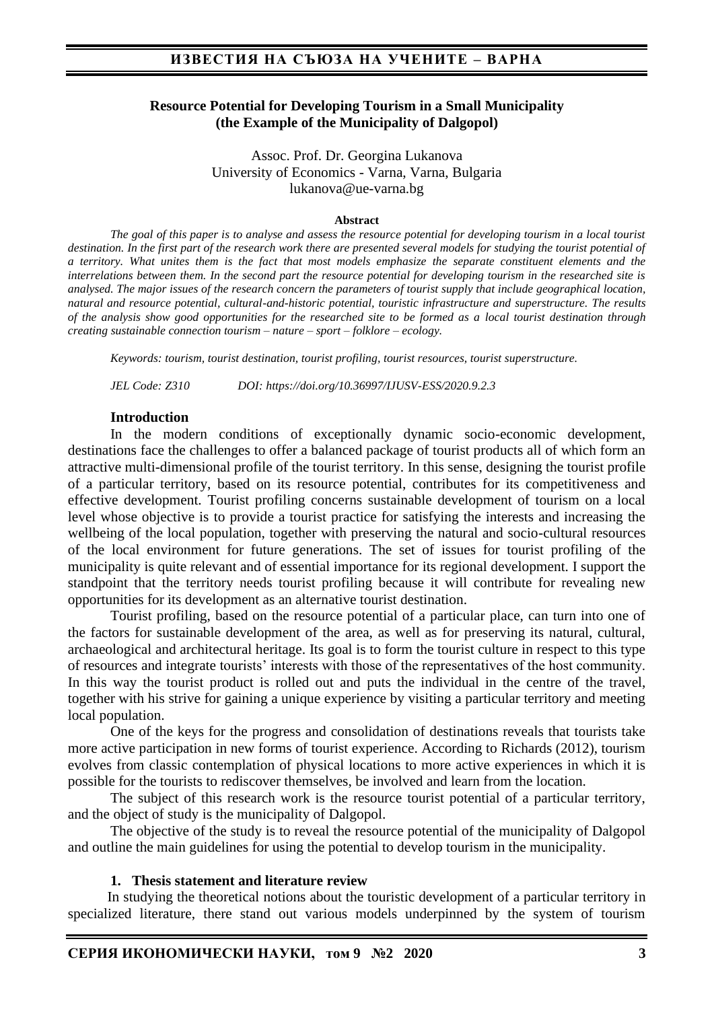### **Resource Potential for Developing Tourism in a Small Municipality (the Example of the Municipality of Dalgopol)**

Assoc. Prof. Dr. Georgina Lukanova University of Economics - Varna, Varna, Bulgaria lukanova@ue-varna.bg

#### **Abstract**

*The goal of this paper is to analyse and assess the resource potential for developing tourism in a local tourist destination. In the first part of the research work there are presented several models for studying the tourist potential of a territory. What unites them is the fact that most models emphasize the separate constituent elements and the interrelations between them. In the second part the resource potential for developing tourism in the researched site is analysed. The major issues of the research concern the parameters of tourist supply that include geographical location, natural and resource potential, cultural-and-historic potential, touristic infrastructure and superstructure. The results of the analysis show good opportunities for the researched site to be formed as a local tourist destination through creating sustainable connection tourism – nature – sport – folklore – ecology.*

*Keywords: tourism, tourist destination, tourist profiling, tourist resources, tourist superstructure.* 

*JEL Code: Z310 DOI: https://doi.org/10.36997/IJUSV-ESS/2020.9.2.3*

#### **Introduction**

In the modern conditions of exceptionally dynamic socio-economic development, destinations face the challenges to offer a balanced package of tourist products all of which form an attractive multi-dimensional profile of the tourist territory. In this sense, designing the tourist profile of a particular territory, based on its resource potential, contributes for its competitiveness and effective development. Tourist profiling concerns sustainable development of tourism on a local level whose objective is to provide a tourist practice for satisfying the interests and increasing the wellbeing of the local population, together with preserving the natural and socio-cultural resources of the local environment for future generations. The set of issues for tourist profiling of the municipality is quite relevant and of essential importance for its regional development. I support the standpoint that the territory needs tourist profiling because it will contribute for revealing new opportunities for its development as an alternative tourist destination.

Tourist profiling, based on the resource potential of a particular place, can turn into one of the factors for sustainable development of the area, as well as for preserving its natural, cultural, archaeological and architectural heritage. Its goal is to form the tourist culture in respect to this type of resources and integrate tourists' interests with those of the representatives of the host community. In this way the tourist product is rolled out and puts the individual in the centre of the travel, together with his strive for gaining a unique experience by visiting a particular territory and meeting local population.

One of the keys for the progress and consolidation of destinations reveals that tourists take more active participation in new forms of tourist experience. According to Richards (2012), tourism evolves from classic contemplation of physical locations to more active experiences in which it is possible for the tourists to rediscover themselves, be involved and learn from the location.

The subject of this research work is the resource tourist potential of a particular territory, and the object of study is the municipality of Dalgopol.

The objective of the study is to reveal the resource potential of the municipality of Dalgopol and outline the main guidelines for using the potential to develop tourism in the municipality.

#### **1. Thesis statement and literature review**

In studying the theoretical notions about the touristic development of a particular territory in specialized literature, there stand out various models underpinned by the system of tourism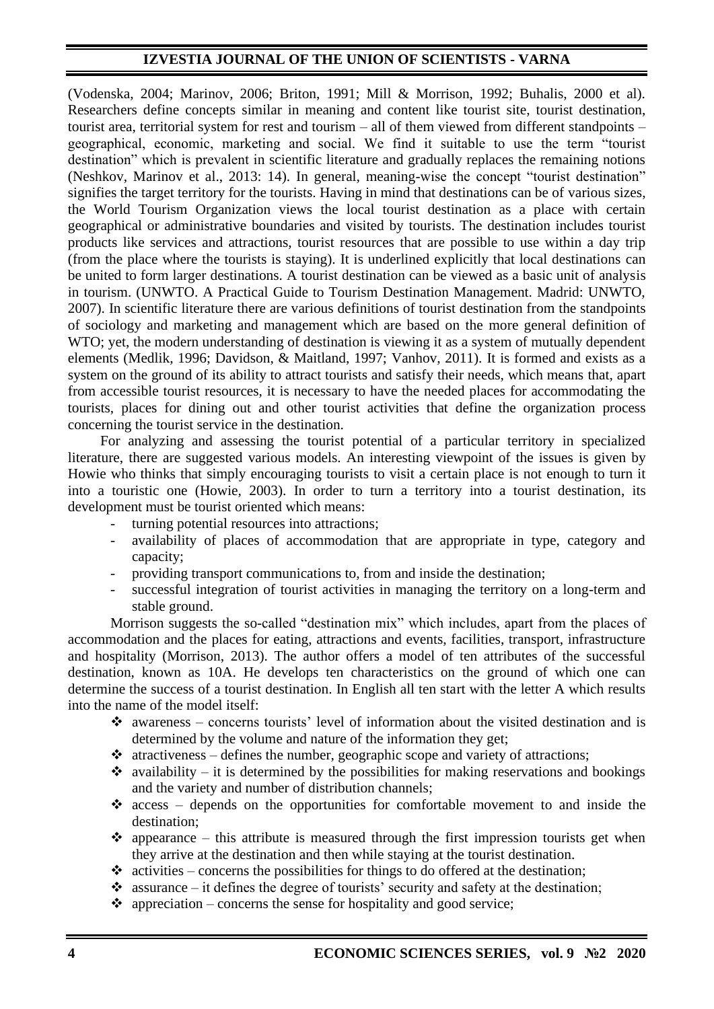(Vodenska, 2004; Marinov, 2006; Briton, 1991; Mill & Morrison, 1992; Buhalis, 2000 et al). Researchers define concepts similar in meaning and content like tourist site, tourist destination, tourist area, territorial system for rest and tourism – all of them viewed from different standpoints – geographical, economic, marketing and social. We find it suitable to use the term "tourist destination" which is prevalent in scientific literature and gradually replaces the remaining notions (Neshkov, Marinov et al., 2013: 14). In general, meaning-wise the concept "tourist destination" signifies the target territory for the tourists. Having in mind that destinations can be of various sizes, the World Tourism Organization views the local tourist destination as a place with certain geographical or administrative boundaries and visited by tourists. The destination includes tourist products like services and attractions, tourist resources that are possible to use within a day trip (from the place where the tourists is staying). It is underlined explicitly that local destinations can be united to form larger destinations. A tourist destination can be viewed as a basic unit of analysis in tourism. (UNWTO. A Practical Guide to Tourism Destination Management. Madrid: UNWTO, 2007). In scientific literature there are various definitions of tourist destination from the standpoints of sociology and marketing and management which are based on the more general definition of WTO; yet, the modern understanding of destination is viewing it as a system of mutually dependent elements (Medlik, 1996; Davidson, & Maitland, 1997; Vanhov, 2011). It is formed and exists as a system on the ground of its ability to attract tourists and satisfy their needs, which means that, apart from accessible tourist resources, it is necessary to have the needed places for accommodating the tourists, places for dining out and other tourist activities that define the organization process concerning the tourist service in the destination.

For analyzing and assessing the tourist potential of a particular territory in specialized literature, there are suggested various models. An interesting viewpoint of the issues is given by Howie who thinks that simply encouraging tourists to visit a certain place is not enough to turn it into a touristic one (Howie, 2003). In order to turn a territory into a tourist destination, its development must be tourist oriented which means:

turning potential resources into attractions;

- availability of places of accommodation that are appropriate in type, category and capacity;
- providing transport communications to, from and inside the destination;
- successful integration of tourist activities in managing the territory on a long-term and stable ground.

Morrison suggests the so-called "destination mix" which includes, apart from the places of accommodation and the places for eating, attractions and events, facilities, transport, infrastructure and hospitality (Morrison, 2013). The author offers a model of ten attributes of the successful destination, known as 10A. He develops ten characteristics on the ground of which one can determine the success of a tourist destination. In English all ten start with the letter A which results into the name of the model itself:

- $\cdot$  awareness concerns tourists' level of information about the visited destination and is determined by the volume and nature of the information they get;
- $\triangleleft$  atractiveness defines the number, geographic scope and variety of attractions;
- $\cdot$  availability it is determined by the possibilities for making reservations and bookings and the variety and number of distribution channels;
- ❖ access depends on the opportunities for comfortable movement to and inside the destination;
- $\bullet$  appearance this attribute is measured through the first impression tourists get when they arrive at the destination and then while staying at the tourist destination.
- $\triangleleft$  activities concerns the possibilities for things to do offered at the destination;
- $\cdot$  assurance it defines the degree of tourists' security and safety at the destination;
- $\triangleleft$  appreciation concerns the sense for hospitality and good service;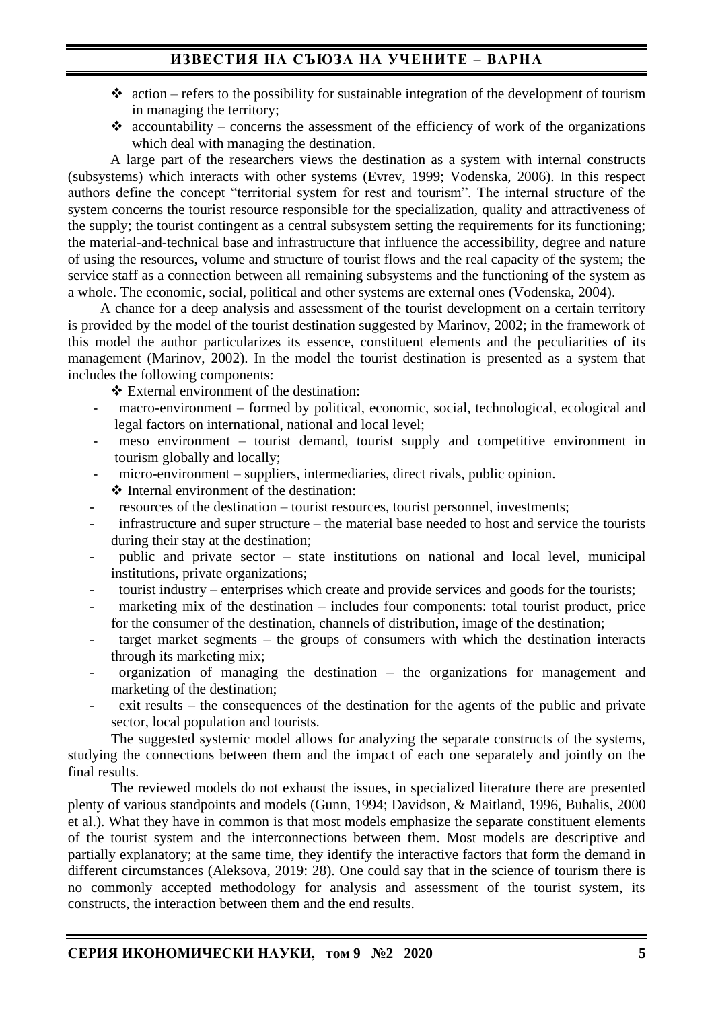# **ИЗВЕСТИЯ НА СЪЮЗА НА УЧЕНИТЕ – ВАРНА**

- $\triangleleft$  action refers to the possibility for sustainable integration of the development of tourism in managing the territory;
- accountability concerns the assessment of the efficiency of work of the organizations which deal with managing the destination.

A large part of the researchers views the destination as a system with internal constructs (subsystems) which interacts with other systems (Evrev, 1999; Vodenska, 2006). In this respect authors define the concept "territorial system for rest and tourism". The internal structure of the system concerns the tourist resource responsible for the specialization, quality and attractiveness of the supply; the tourist contingent as a central subsystem setting the requirements for its functioning; the material-and-technical base and infrastructure that influence the accessibility, degree and nature of using the resources, volume and structure of tourist flows and the real capacity of the system; the service staff as a connection between all remaining subsystems and the functioning of the system as a whole. The economic, social, political and other systems are external ones (Vodenska, 2004).

 A chance for a deep analysis and assessment of the tourist development on a certain territory is provided by the model of the tourist destination suggested by Marinov, 2002; in the framework of this model the author particularizes its essence, constituent elements and the peculiarities of its management (Marinov, 2002). In the model the tourist destination is presented as a system that includes the following components:

- ❖ External environment of the destination:
- macro-environment formed by political, economic, social, technological, ecological and legal factors on international, national and local level;
- $meso$  environment tourist demand, tourist supply and competitive environment in tourism globally and locally;
- micro-environment suppliers, intermediaries, direct rivals, public opinion.
- ❖ Internal environment of the destination:
- resources of the destination tourist resources, tourist personnel, investments;
- infrastructure and super structure the material base needed to host and service the tourists during their stay at the destination;
- public and private sector state institutions on national and local level, municipal institutions, private organizations;
- tourist industry enterprises which create and provide services and goods for the tourists;
- marketing mix of the destination  $-$  includes four components: total tourist product, price for the consumer of the destination, channels of distribution, image of the destination;
- target market segments  $-$  the groups of consumers with which the destination interacts through its marketing mix;
- $organization$  of managing the destination the organizations for management and marketing of the destination;
- exit results the consequences of the destination for the agents of the public and private sector, local population and tourists.

The suggested systemic model allows for analyzing the separate constructs of the systems, studying the connections between them and the impact of each one separately and jointly on the final results.

The reviewed models do not exhaust the issues, in specialized literature there are presented plenty of various standpoints and models (Gunn, 1994; Davidson, & Maitland, 1996, Buhalis, 2000 et al.). What they have in common is that most models emphasize the separate constituent elements of the tourist system and the interconnections between them. Most models are descriptive and partially explanatory; at the same time, they identify the interactive factors that form the demand in different circumstances (Aleksova, 2019: 28). One could say that in the science of tourism there is no commonly accepted methodology for analysis and assessment of the tourist system, its constructs, the interaction between them and the end results.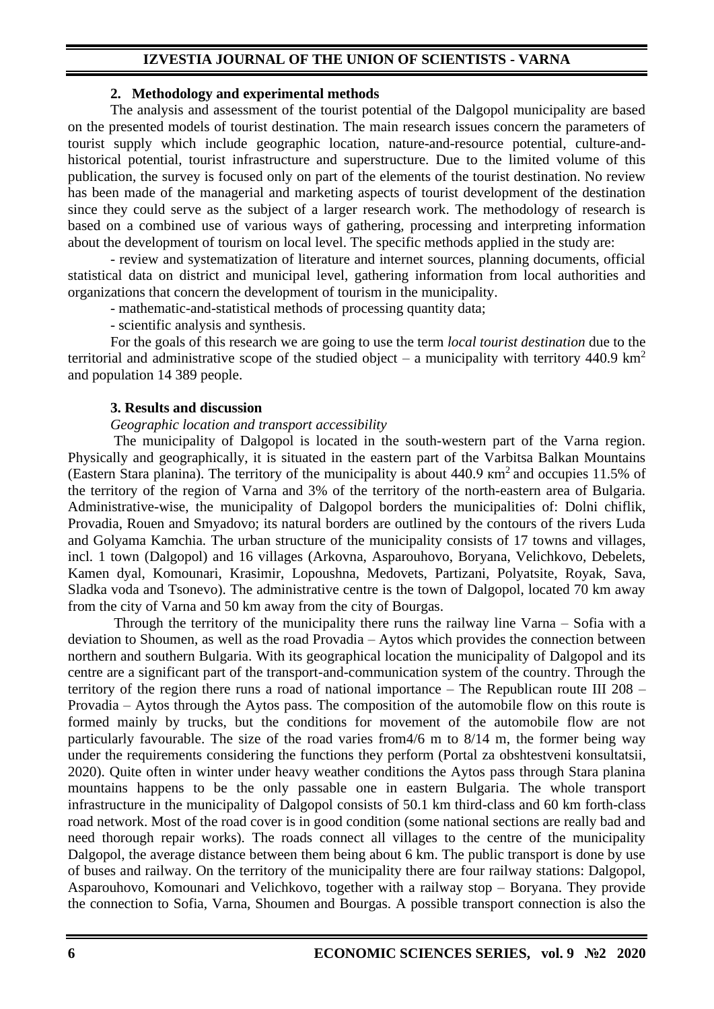#### **2. Methodology and experimental methods**

The analysis and assessment of the tourist potential of the Dalgopol municipality are based on the presented models of tourist destination. The main research issues concern the parameters of tourist supply which include geographic location, nature-and-resource potential, culture-andhistorical potential, tourist infrastructure and superstructure. Due to the limited volume of this publication, the survey is focused only on part of the elements of the tourist destination. No review has been made of the managerial and marketing aspects of tourist development of the destination since they could serve as the subject of a larger research work. The methodology of research is based on a combined use of various ways of gathering, processing and interpreting information about the development of tourism on local level. The specific methods applied in the study are:

- review and systematization of literature and internet sources, planning documents, official statistical data on district and municipal level, gathering information from local authorities and organizations that concern the development of tourism in the municipality.

- mathematic-and-statistical methods of processing quantity data;

- scientific analysis and synthesis.

For the goals of this research we are going to use the term *local tourist destination* due to the territorial and administrative scope of the studied object – a municipality with territory 440.9 km<sup>2</sup> and population 14 389 people.

### **3. Results and discussion**

### *Geographic location and transport accessibility*

The municipality of Dalgopol is located in the south-western part of the Varna region. Physically and geographically, it is situated in the eastern part of the Varbitsa Balkan Mountains (Eastern Stara planina). The territory of the municipality is about  $440.9 \text{ km}^2$  and occupies 11.5% of the territory of the region of Varna and 3% of the territory of the north-eastern area of Bulgaria. Administrative-wise, the municipality of Dalgopol borders the municipalities of: Dolni chiflik, Provadia, Rouen and Smyadovo; its natural borders are outlined by the contours of the rivers Luda and Golyama Kamchia. The urban structure of the municipality consists of 17 towns and villages, incl. 1 town (Dalgopol) and 16 villages (Arkovna, Asparouhovo, Boryana, Velichkovo, Debelets, Kamen dyal, Komounari, Krasimir, Lopoushna, Medovets, Partizani, Polyatsite, Royak, Sava, Sladka voda and Tsonevo). The administrative centre is the town of Dalgopol, located 70 km away from the city of Varna and 50 km away from the city of Bourgas.

Through the territory of the municipality there runs the railway line Varna – Sofia with a deviation to Shoumen, as well as the road Provadia – Aytos which provides the connection between northern and southern Bulgaria. With its geographical location the municipality of Dalgopol and its centre are a significant part of the transport-and-communication system of the country. Through the territory of the region there runs a road of national importance – The Republican route III 208 – Provadia – Aytos through the Aytos pass. The composition of the automobile flow on this route is formed mainly by trucks, but the conditions for movement of the automobile flow are not particularly favourable. The size of the road varies from4/6 m to 8/14 m, the former being way under the requirements considering the functions they perform (Portal za obshtestveni konsultatsii, 2020). Quite often in winter under heavy weather conditions the Aytos pass through Stara planina mountains happens to be the only passable one in eastern Bulgaria. The whole transport infrastructure in the municipality of Dalgopol consists of 50.1 km third-class and 60 km forth-class road network. Most of the road cover is in good condition (some national sections are really bad and need thorough repair works). The roads connect all villages to the centre of the municipality Dalgopol, the average distance between them being about 6 km. The public transport is done by use of buses and railway. On the territory of the municipality there are four railway stations: Dalgopol, Asparouhovo, Komounari and Velichkovo, together with a railway stop – Boryana. They provide the connection to Sofia, Varna, Shoumen and Bourgas. A possible transport connection is also the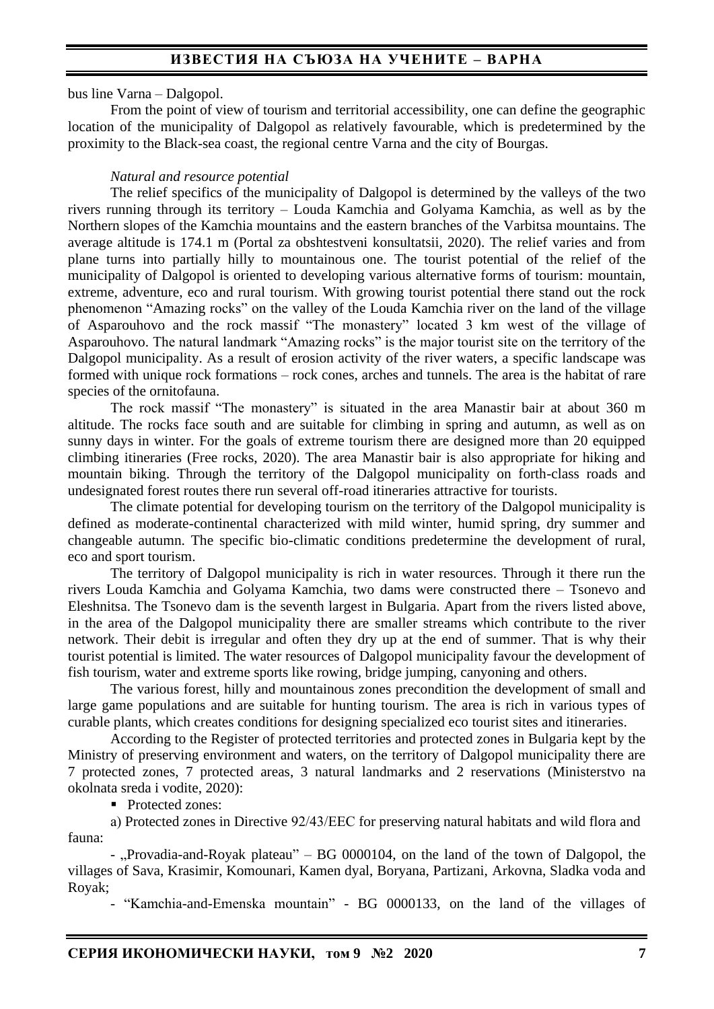## **ИЗВЕСТИЯ НА СЪЮЗА НА УЧЕНИТЕ – ВАРНА**

bus line Varna – Dalgopol.

From the point of view of tourism and territorial accessibility, one can define the geographic location of the municipality of Dalgopol as relatively favourable, which is predetermined by the proximity to the Black-sea coast, the regional centre Varna and the city of Bourgas.

#### *Natural and resource potential*

The relief specifics of the municipality of Dalgopol is determined by the valleys of the two rivers running through its territory – Louda Kamchia and Golyama Kamchia, as well as by the Northern slopes of the Kamchia mountains and the eastern branches of the Varbitsa mountains. The average altitude is 174.1 m (Portal za obshtestveni konsultatsii, 2020). The relief varies and from plane turns into partially hilly to mountainous one. The tourist potential of the relief of the municipality of Dalgopol is oriented to developing various alternative forms of tourism: mountain, extreme, adventure, eco and rural tourism. With growing tourist potential there stand out the rock phenomenon "Amazing rocks" on the valley of the Louda Kamchia river on the land of the village of Asparouhovo and the rock massif "The monastery" located 3 km west of the village of Asparouhovo. The natural landmark "Amazing rocks" is the major tourist site on the territory of the Dalgopol municipality. As a result of erosion activity of the river waters, a specific landscape was formed with unique rock formations – rock cones, arches and tunnels. The area is the habitat of rare species of the ornitofauna.

The rock massif "The monastery" is situated in the area Manastir bair at about 360 m altitude. The rocks face south and are suitable for climbing in spring and autumn, as well as on sunny days in winter. For the goals of extreme tourism there are designed more than 20 equipped climbing itineraries (Free rocks, 2020). The area Manastir bair is also appropriate for hiking and mountain biking. Through the territory of the Dalgopol municipality on forth-class roads and undesignated forest routes there run several off-road itineraries attractive for tourists.

The climate potential for developing tourism on the territory of the Dalgopol municipality is defined as moderate-continental characterized with mild winter, humid spring, dry summer and changeable autumn. The specific bio-climatic conditions predetermine the development of rural, eco and sport tourism.

The territory of Dalgopol municipality is rich in water resources. Through it there run the rivers Louda Kamchia and Golyama Kamchia, two dams were constructed there – Tsonevo and Eleshnitsa. The Tsonevo dam is the seventh largest in Bulgaria. Apart from the rivers listed above, in the area of the Dalgopol municipality there are smaller streams which contribute to the river network. Their debit is irregular and often they dry up at the end of summer. That is why their tourist potential is limited. The water resources of Dalgopol municipality favour the development of fish tourism, water and extreme sports like rowing, bridge jumping, canyoning and others.

The various forest, hilly and mountainous zones precondition the development of small and large game populations and are suitable for hunting tourism. The area is rich in various types of curable plants, which creates conditions for designing specialized eco tourist sites and itineraries.

According to the Register of protected territories and protected zones in Bulgaria kept by the Ministry of preserving environment and waters, on the territory of Dalgopol municipality there are 7 protected zones, 7 protected areas, 3 natural landmarks and 2 reservations (Ministerstvo na okolnata sreda i vodite, 2020):

■ Protected zones:

а) Protected zones in Directive 92/43/ЕЕС for preserving natural habitats and wild flora and fauna:

- "Provadia-and-Royak plateau" – BG 0000104, on the land of the town of Dalgopol, the villages of Sava, Krasimir, Komounari, Kamen dyal, Boryana, Partizani, Arkovna, Sladka voda and Royak;

- "Kamchia-and-Emenska mountain" - BG 0000133, on the land of the villages of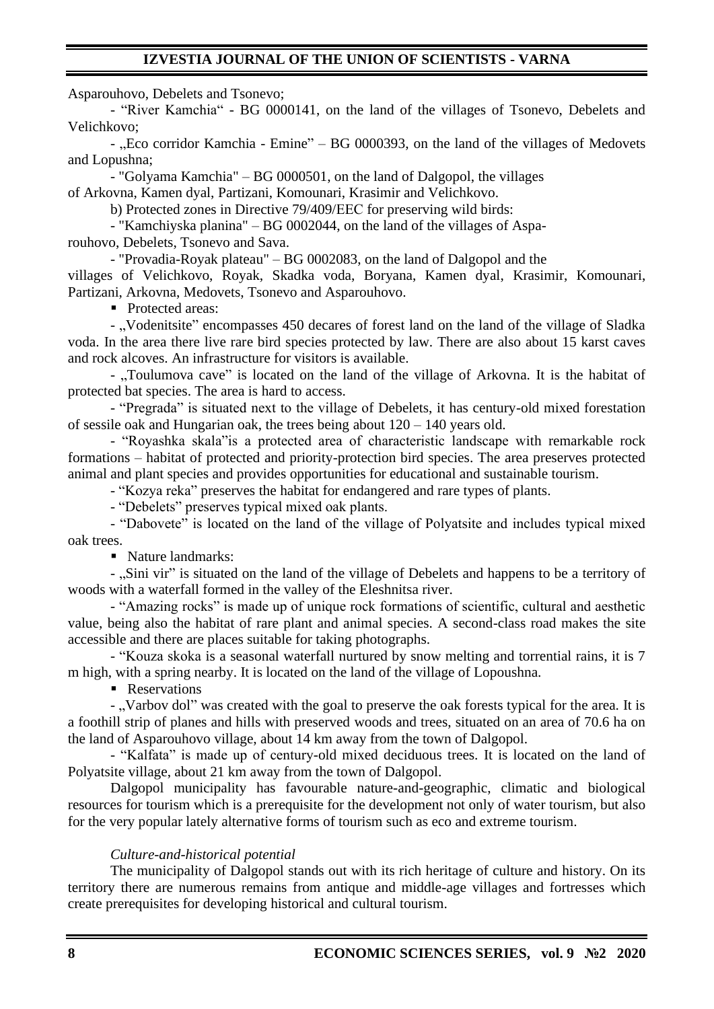Asparouhovo, Debelets and Tsonevo;

- "River Kamchia" - BG 0000141, on the land of the villages of Tsonevo, Debelets and Velichkovo;

- "Eco corridor Kamchia - Emine" – BG 0000393, on the land of the villages of Medovets and Lopushna;

- "Golyama Kamchia" – BG 0000501, on the land of Dalgopol, the villages of Arkovna, Kamen dyal, Partizani, Komounari, Krasimir and Velichkovo.

b) Protected zones in Directive 79/409/ЕЕС for preserving wild birds:

- "Kamchiyska planina" – BG 0002044, on the land of the villages of Asparouhovo, Debelets, Tsonevo and Sava.

- "Provadia-Royak plateau" – BG 0002083, on the land of Dalgopol and the

villages of Velichkovo, Royak, Skadka voda, Boryana, Kamen dyal, Krasimir, Komounari, Partizani, Arkovna, Medovets, Tsonevo and Asparouhovo.

■ Protected areas:

- "Vodenitsite" encompasses 450 decares of forest land on the land of the village of Sladka voda. In the area there live rare bird species protected by law. There are also about 15 karst caves and rock alcoves. An infrastructure for visitors is available.

- ..Toulumova cave" is located on the land of the village of Arkovna. It is the habitat of protected bat species. The area is hard to access.

- "Pregrada" is situated next to the village of Debelets, it has century-old mixed forestation of sessile oak and Hungarian oak, the trees being about 120 – 140 years old.

- "Royashka skala"is a protected area of characteristic landscape with remarkable rock formations – habitat of protected and priority-protection bird species. The area preserves protected animal and plant species and provides opportunities for educational and sustainable tourism.

- "Kozya reka" preserves the habitat for endangered and rare types of plants.

- "Debelets" preserves typical mixed oak plants.

- "Dabovete" is located on the land of the village of Polyatsite and includes typical mixed oak trees.

■ Nature landmarks:

- "Sini vir" is situated on the land of the village of Debelets and happens to be a territory of woods with a waterfall formed in the valley of the Eleshnitsa river.

- "Amazing rocks" is made up of unique rock formations of scientific, cultural and aesthetic value, being also the habitat of rare plant and animal species. A second-class road makes the site accessible and there are places suitable for taking photographs.

- "Kouza skoka is a seasonal waterfall nurtured by snow melting and torrential rains, it is 7 m high, with a spring nearby. It is located on the land of the village of Lopoushna.

■ Reservations

- "Varbov dol" was created with the goal to preserve the oak forests typical for the area. It is a foothill strip of planes and hills with preserved woods and trees, situated on an area of 70.6 ha on the land of Asparouhovo village, about 14 km away from the town of Dalgopol.

- "Kalfata" is made up of century-old mixed deciduous trees. It is located on the land of Polyatsite village, about 21 km away from the town of Dalgopol.

Dalgopol municipality has favourable nature-and-geographic, climatic and biological resources for tourism which is a prerequisite for the development not only of water tourism, but also for the very popular lately alternative forms of tourism such as eco and extreme tourism.

### *Culture-and-historical potential*

The municipality of Dalgopol stands out with its rich heritage of culture and history. On its territory there are numerous remains from antique and middle-age villages and fortresses which create prerequisites for developing historical and cultural tourism.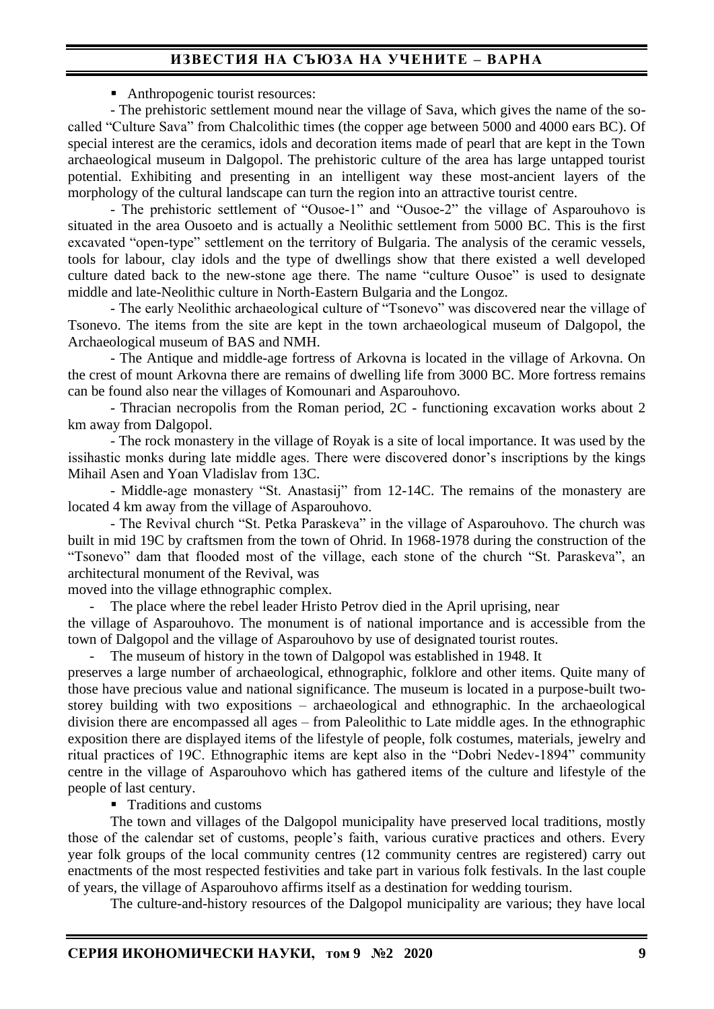# **ИЗВЕСТИЯ НА СЪЮЗА НА УЧЕНИТЕ – ВАРНА**

■ Anthropogenic tourist resources:

- The prehistoric settlement mound near the village of Sava, which gives the name of the socalled "Culture Sava" from Chalcolithic times (the copper age between 5000 and 4000 ears BC). Of special interest are the ceramics, idols and decoration items made of pearl that are kept in the Town archaeological museum in Dalgopol. The prehistoric culture of the area has large untapped tourist potential. Exhibiting and presenting in an intelligent way these most-ancient layers of the morphology of the cultural landscape can turn the region into an attractive tourist centre.

- The prehistoric settlement of "Ousoe-1" and "Ousoe-2" the village of Asparouhovo is situated in the area Ousoeto and is actually a Neolithic settlement from 5000 BC. This is the first excavated "open-type" settlement on the territory of Bulgaria. The analysis of the ceramic vessels, tools for labour, clay idols and the type of dwellings show that there existed a well developed culture dated back to the new-stone age there. The name "culture Ousoe" is used to designate middle and late-Neolithic culture in North-Eastern Bulgaria and the Longoz.

- The early Neolithic archaeological culture of "Tsonevo" was discovered near the village of Tsonevo. The items from the site are kept in the town archaeological museum of Dalgopol, the Archaeological museum of BAS and NMH.

- The Antique and middle-age fortress of Arkovna is located in the village of Arkovna. On the crest of mount Arkovna there are remains of dwelling life from 3000 BC. More fortress remains can be found also near the villages of Komounari and Asparouhovo.

- Thracian necropolis from the Roman period, 2C - functioning excavation works about 2 km away from Dalgopol.

- The rock monastery in the village of Royak is a site of local importance. It was used by the issihastic monks during late middle ages. There were discovered donor's inscriptions by the kings Mihail Asen and Yoan Vladislav from 13C.

- Middle-age monastery "St. Anastasij" from 12-14C. The remains of the monastery are located 4 km away from the village of Asparouhovo.

- The Revival church "St. Petka Paraskeva" in the village of Asparouhovo. The church was built in mid 19C by craftsmen from the town of Ohrid. In 1968-1978 during the construction of the "Tsonevo" dam that flooded most of the village, each stone of the church "St. Paraskeva", an architectural monument of the Revival, was

moved into the village ethnographic complex.

The place where the rebel leader Hristo Petrov died in the April uprising, near

the village of Asparouhovo. The monument is of national importance and is accessible from the town of Dalgopol and the village of Asparouhovo by use of designated tourist routes.

The museum of history in the town of Dalgopol was established in 1948. It

preserves a large number of archaeological, ethnographic, folklore and other items. Quite many of those have precious value and national significance. The museum is located in a purpose-built twostorey building with two expositions – archaeological and ethnographic. In the archaeological division there are encompassed all ages – from Paleolithic to Late middle ages. In the ethnographic exposition there are displayed items of the lifestyle of people, folk costumes, materials, jewelry and ritual practices of 19C. Ethnographic items are kept also in the "Dobri Nedev-1894" community centre in the village of Asparouhovo which has gathered items of the culture and lifestyle of the people of last century.

■ Traditions and customs

The town and villages of the Dalgopol municipality have preserved local traditions, mostly those of the calendar set of customs, people's faith, various curative practices and others. Every year folk groups of the local community centres (12 community centres are registered) carry out enactments of the most respected festivities and take part in various folk festivals. In the last couple of years, the village of Asparouhovo affirms itself as a destination for wedding tourism.

The culture-and-history resources of the Dalgopol municipality are various; they have local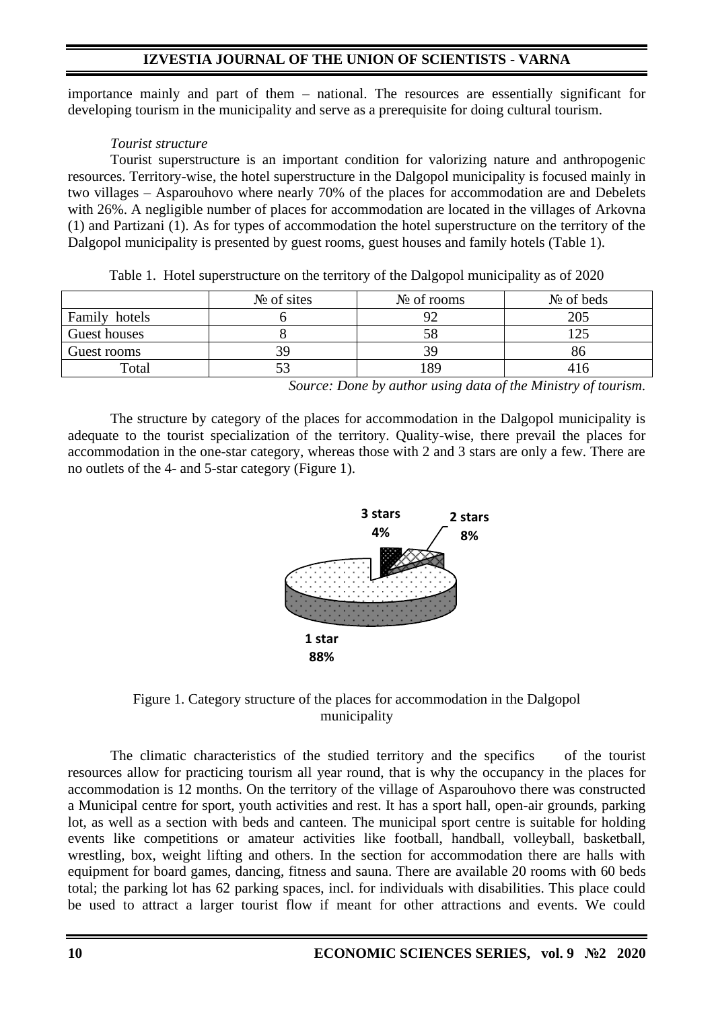importance mainly and part of them – national. The resources are essentially significant for developing tourism in the municipality and serve as a prerequisite for doing cultural tourism.

## *Tourist structure*

Tourist superstructure is an important condition for valorizing nature and anthropogenic resources. Territory-wise, the hotel superstructure in the Dalgopol municipality is focused mainly in two villages – Asparouhovo where nearly 70% of the places for accommodation are and Debelets with 26%. A negligible number of places for accommodation are located in the villages of Arkovna (1) and Partizani (1). As for types of accommodation the hotel superstructure on the territory of the Dalgopol municipality is presented by guest rooms, guest houses and family hotels (Table 1).

|               | $N_2$ of sites | $N_2$ of rooms | $N_2$ of beds |
|---------------|----------------|----------------|---------------|
| Family hotels |                | 92             | 205           |
| Guest houses  |                |                |               |
| Guest rooms   | 3G             | 39             |               |
| Total         |                | -89            |               |

Table 1. Hotel superstructure on the territory of the Dalgopol municipality as of 2020

*Source: Done by author using data of the Ministry of tourism.*

The structure by category of the places for accommodation in the Dalgopol municipality is adequate to the tourist specialization of the territory. Quality-wise, there prevail the places for accommodation in the one-star category, whereas those with 2 and 3 stars are only a few. There are no outlets of the 4- and 5-star category (Figure 1).





The climatic characteristics of the studied territory and the specifics of the tourist resources allow for practicing tourism all year round, that is why the occupancy in the places for accommodation is 12 months. On the territory of the village of Asparouhovo there was constructed a Municipal centre for sport, youth activities and rest. It has a sport hall, open-air grounds, parking lot, as well as a section with beds and canteen. The municipal sport centre is suitable for holding events like competitions or amateur activities like football, handball, volleyball, basketball, wrestling, box, weight lifting and others. In the section for accommodation there are halls with equipment for board games, dancing, fitness and sauna. There are available 20 rooms with 60 beds total; the parking lot has 62 parking spaces, incl. for individuals with disabilities. This place could be used to attract a larger tourist flow if meant for other attractions and events. We could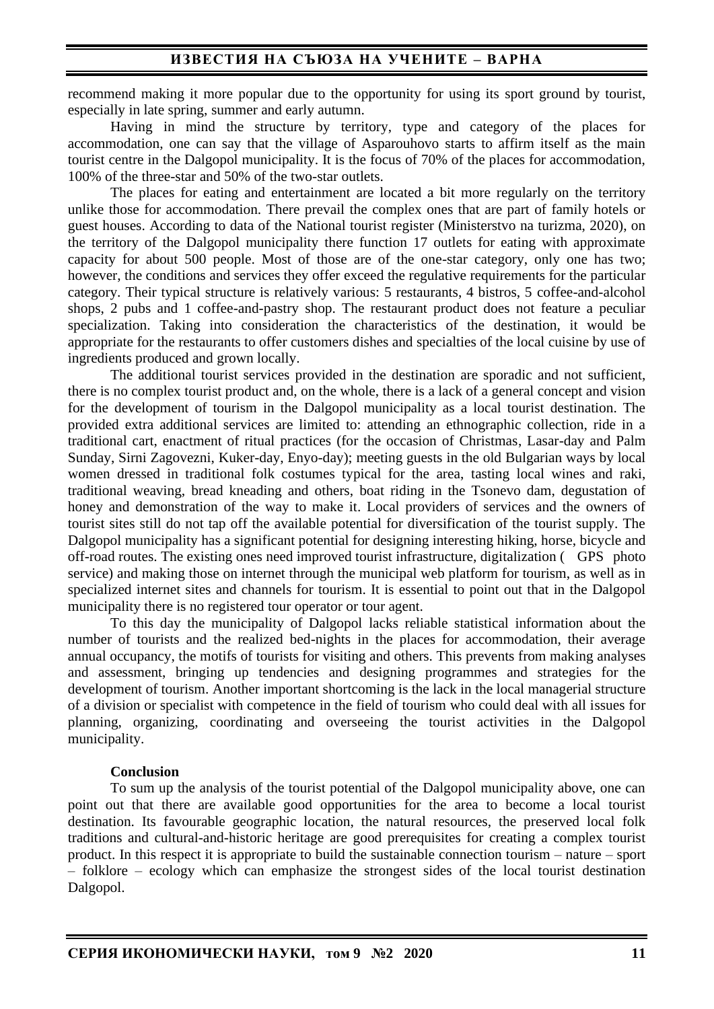recommend making it more popular due to the opportunity for using its sport ground by tourist, especially in late spring, summer and early autumn.

Having in mind the structure by territory, type and category of the places for accommodation, one can say that the village of Asparouhovo starts to affirm itself as the main tourist centre in the Dalgopol municipality. It is the focus of 70% of the places for accommodation, 100% of the three-star and 50% of the two-star outlets.

The places for eating and entertainment are located a bit more regularly on the territory unlike those for accommodation. There prevail the complex ones that are part of family hotels or guest houses. According to data of the National tourist register (Ministerstvo na turizma, 2020), on the territory of the Dalgopol municipality there function 17 outlets for eating with approximate capacity for about 500 people. Most of those are of the one-star category, only one has two; however, the conditions and services they offer exceed the regulative requirements for the particular category. Their typical structure is relatively various: 5 restaurants, 4 bistros, 5 coffee-and-alcohol shops, 2 pubs and 1 coffee-and-pastry shop. The restaurant product does not feature a peculiar specialization. Taking into consideration the characteristics of the destination, it would be appropriate for the restaurants to offer customers dishes and specialties of the local cuisine by use of ingredients produced and grown locally.

The additional tourist services provided in the destination are sporadic and not sufficient, there is no complex tourist product and, on the whole, there is a lack of a general concept and vision for the development of tourism in the Dalgopol municipality as a local tourist destination. The provided extra additional services are limited to: attending an ethnographic collection, ride in a traditional cart, enactment of ritual practices (for the occasion of Christmas, Lasar-day and Palm Sunday, Sirni Zagovezni, Kuker-day, Enyo-day); meeting guests in the old Bulgarian ways by local women dressed in traditional folk costumes typical for the area, tasting local wines and raki, traditional weaving, bread kneading and others, boat riding in the Tsonevo dam, degustation of honey and demonstration of the way to make it. Local providers of services and the owners of tourist sites still do not tap off the available potential for diversification of the tourist supply. The Dalgopol municipality has a significant potential for designing interesting hiking, horse, bicycle and off-road routes. The existing ones need improved tourist infrastructure, digitalization ( GPS photo service) and making those on internet through the municipal web platform for tourism, as well as in specialized internet sites and channels for tourism. It is essential to point out that in the Dalgopol municipality there is no registered tour operator or tour agent.

To this day the municipality of Dalgopol lacks reliable statistical information about the number of tourists and the realized bed-nights in the places for accommodation, their average annual occupancy, the motifs of tourists for visiting and others. This prevents from making analyses and assessment, bringing up tendencies and designing programmes and strategies for the development of tourism. Another important shortcoming is the lack in the local managerial structure of a division or specialist with competence in the field of tourism who could deal with all issues for planning, organizing, coordinating and overseeing the tourist activities in the Dalgopol municipality.

#### **Conclusion**

To sum up the analysis of the tourist potential of the Dalgopol municipality above, one can point out that there are available good opportunities for the area to become a local tourist destination. Its favourable geographic location, the natural resources, the preserved local folk traditions and cultural-and-historic heritage are good prerequisites for creating a complex tourist product. In this respect it is appropriate to build the sustainable connection tourism – nature – sport – folklore – ecology which can emphasize the strongest sides of the local tourist destination Dalgopol.